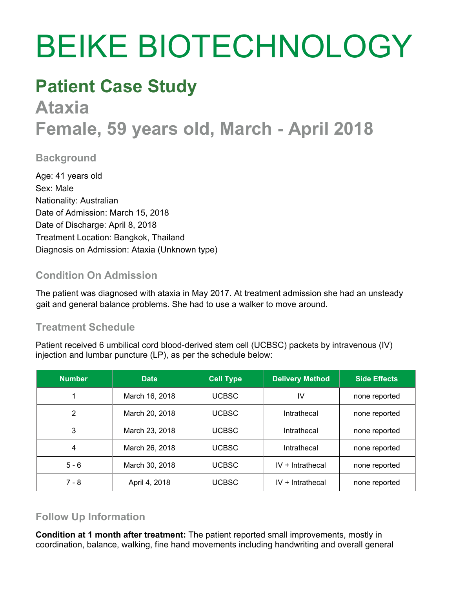# BEIKE BIOTECHNOLOGY

## **Patient Case Study**

## **Ataxia Female, 59 years old, March - April 2018**

#### **Background**

Age: 41 years old Sex: Male Nationality: Australian Date of Admission: March 15, 2018 Date of Discharge: April 8, 2018 Treatment Location: Bangkok, Thailand Diagnosis on Admission: Ataxia (Unknown type)

### **Condition On Admission**

The patient was diagnosed with ataxia in May 2017. At treatment admission she had an unsteady gait and general balance problems. She had to use a walker to move around.

### **Treatment Schedule**

Patient received 6 umbilical cord blood-derived stem cell (UCBSC) packets by intravenous (IV) injection and lumbar puncture (LP), as per the schedule below:

| <b>Number</b> | <b>Date</b>    | <b>Cell Type</b> | <b>Delivery Method</b> | <b>Side Effects</b> |
|---------------|----------------|------------------|------------------------|---------------------|
|               | March 16, 2018 | <b>UCBSC</b>     | IV                     | none reported       |
| 2             | March 20, 2018 | <b>UCBSC</b>     | Intrathecal            | none reported       |
| 3             | March 23, 2018 | <b>UCBSC</b>     | Intrathecal            | none reported       |
| 4             | March 26, 2018 | <b>UCBSC</b>     | Intrathecal            | none reported       |
| $5 - 6$       | March 30, 2018 | <b>UCBSC</b>     | $IV + Intracthecal$    | none reported       |
| $7 - 8$       | April 4, 2018  | <b>UCBSC</b>     | $IV + Intracthecal$    | none reported       |

### **Follow Up Information**

**Condition at 1 month after treatment:** The patient reported small improvements, mostly in coordination, balance, walking, fine hand movements including handwriting and overall general